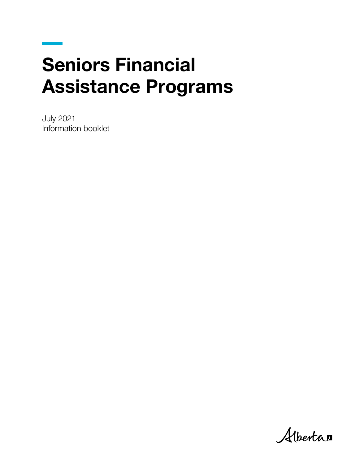# Seniors Financial Assistance Programs

July 2021 Information booklet

Albertan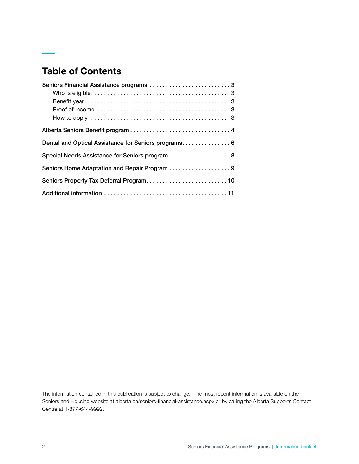# Table of Contents

| Seniors Financial Assistance programs 3              |  |
|------------------------------------------------------|--|
|                                                      |  |
|                                                      |  |
|                                                      |  |
|                                                      |  |
|                                                      |  |
| Dental and Optical Assistance for Seniors programs 6 |  |
| Special Needs Assistance for Seniors program 8       |  |
| Seniors Home Adaptation and Repair Program 9         |  |
|                                                      |  |
|                                                      |  |

The information contained in this publication is subject to change. The most recent information is available on the Seniors and Housing website at [alberta.ca/seniors-financial-assistance.aspx](https://www.alberta.ca/seniors-financial-assistance.aspx) or by calling the Alberta Supports Contact Centre at 1-877-644-9992.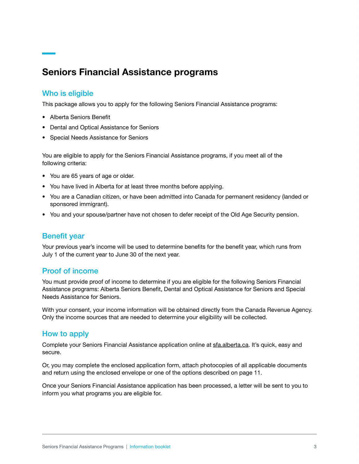# Seniors Financial Assistance programs

#### Who is eligible

This package allows you to apply for the following Seniors Financial Assistance programs:

- Alberta Seniors Benefit
- Dental and Optical Assistance for Seniors
- Special Needs Assistance for Seniors

You are eligible to apply for the Seniors Financial Assistance programs, if you meet all of the following criteria:

- You are 65 years of age or older.
- You have lived in Alberta for at least three months before applying.
- You are a Canadian citizen, or have been admitted into Canada for permanent residency (landed or sponsored immigrant).
- You and your spouse/partner have not chosen to defer receipt of the Old Age Security pension.

## Benefit year

Your previous year's income will be used to determine benefits for the benefit year, which runs from July 1 of the current year to June 30 of the next year.

## Proof of income

You must provide proof of income to determine if you are eligible for the following Seniors Financial Assistance programs: Alberta Seniors Benefit, Dental and Optical Assistance for Seniors and Special Needs Assistance for Seniors.

With your consent, your income information will be obtained directly from the Canada Revenue Agency. Only the income sources that are needed to determine your eligibility will be collected.

#### How to apply

Complete your Seniors Financial Assistance application online at [sfa.alberta.ca.](https://sfa.alberta.ca/) It's quick, easy and secure.

Or, you may complete the enclosed application form, attach photocopies of all applicable documents and return using the enclosed envelope or one of the options described on page 11.

Once your Seniors Financial Assistance application has been processed, a letter will be sent to you to inform you what programs you are eligible for.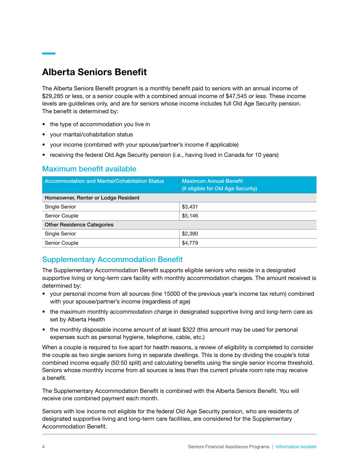# Alberta Seniors Benefit

The Alberta Seniors Benefit program is a monthly benefit paid to seniors with an annual income of \$29,285 or less, or a senior couple with a combined annual income of \$47,545 or less. These income levels are guidelines only, and are for seniors whose income includes full Old Age Security pension. The benefit is determined by:

- the type of accommodation you live in
- your marital/cohabitation status
- your income (combined with your spouse/partner's income if applicable)
- receiving the federal Old Age Security pension (i.e., having lived in Canada for 10 years)

# Maximum benefit available

| <b>Accommodation and Marital/Cohabitation Status</b> | <b>Maximum Annual Benefit</b><br>(if eligible for Old Age Security) |  |  |  |  |
|------------------------------------------------------|---------------------------------------------------------------------|--|--|--|--|
| Homeowner, Renter or Lodge Resident                  |                                                                     |  |  |  |  |
| Single Senior                                        | \$3,431                                                             |  |  |  |  |
| Senior Couple                                        | \$5,146                                                             |  |  |  |  |
| <b>Other Residence Categories</b>                    |                                                                     |  |  |  |  |
| Single Senior                                        | \$2,390                                                             |  |  |  |  |
| Senior Couple                                        | \$4,779                                                             |  |  |  |  |

## Supplementary Accommodation Benefit

The Supplementary Accommodation Benefit supports eligible seniors who reside in a designated supportive living or long-term care facility with monthly accommodation charges. The amount received is determined by:

- your personal income from all sources (line 15000 of the previous year's income tax return) combined with your spouse/partner's income (regardless of age)
- the maximum monthly accommodation charge in designated supportive living and long-term care as set by Alberta Health
- the monthly disposable income amount of at least \$322 (this amount may be used for personal expenses such as personal hygiene, telephone, cable, etc.)

When a couple is required to live apart for health reasons, a review of eligibility is completed to consider the couple as two single seniors living in separate dwellings. This is done by dividing the couple's total combined income equally (50:50 split) and calculating benefits using the single senior income threshold. Seniors whose monthly income from all sources is less than the current private room rate may receive a benefit.

The Supplementary Accommodation Benefit is combined with the Alberta Seniors Benefit. You will receive one combined payment each month.

Seniors with low income not eligible for the federal Old Age Security pension, who are residents of designated supportive living and long-term care facilities, are considered for the Supplementary Accommodation Benefit.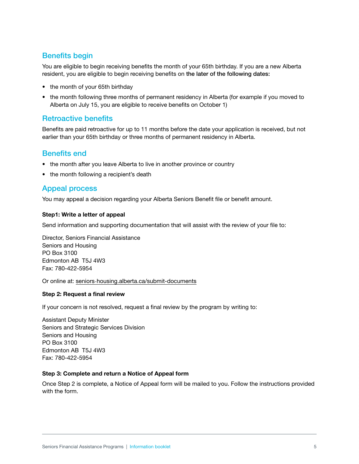# Benefits begin

You are eligible to begin receiving benefits the month of your 65th birthday. If you are a new Alberta resident, you are eligible to begin receiving benefits on the later of the following dates:

- the month of your 65th birthday
- the month following three months of permanent residency in Alberta (for example if you moved to Alberta on July 15, you are eligible to receive benefits on October 1)

## Retroactive benefits

Benefits are paid retroactive for up to 11 months before the date your application is received, but not earlier than your 65th birthday or three months of permanent residency in Alberta.

#### Benefits end

- the month after you leave Alberta to live in another province or country
- the month following a recipient's death

## **Appeal process**

You may appeal a decision regarding your Alberta Seniors Benefit file or benefit amount.

#### Step1: Write a letter of appeal

Send information and supporting documentation that will assist with the review of your file to:

Director, Seniors Financial Assistance Seniors and Housing PO Box 3100 Edmonton AB T5J 4W3 Fax: 780-422-5954

Or online at: seniors-housing.alberta.ca/submit-documents

#### Step 2: Request a final review

If your concern is not resolved, request a final review by the program by writing to:

**Assistant Deputy Minister** Seniors and Strategic Services Division Seniors and Housing PO Box 3100 Edmonton AB T5J 4W3 Fax: 780-422-5954

#### Step 3: Complete and return a Notice of Appeal form

Once Step 2 is complete, a Notice of Appeal form will be mailed to you. Follow the instructions provided with the form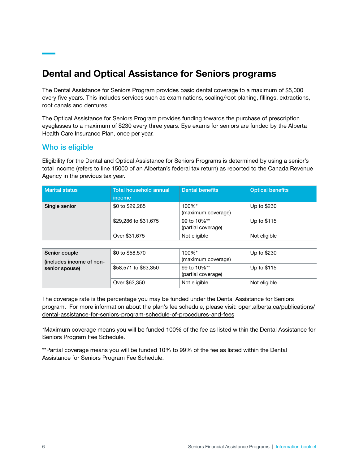# Dental and Optical Assistance for Seniors programs

The Dental Assistance for Seniors Program provides basic dental coverage to a maximum of \$5,000 every five years. This includes services such as examinations, scaling/root planing, fillings, extractions, root canals and dentures.

The Optical Assistance for Seniors Program provides funding towards the purchase of prescription eyeglasses to a maximum of \$230 every three years. Eye exams for seniors are funded by the Alberta Health Care Insurance Plan, once per year.

## Who is eligible

Eligibility for the Dental and Optical Assistance for Seniors Programs is determined by using a senior's total income (refers to line 15000 of an Albertan's federal tax return) as reported to the Canada Revenue Agency in the previous tax year.

| <b>Marital status</b>                                       | <b>Total household annual</b><br><i>income</i> | <b>Dental benefits</b>            | <b>Optical benefits</b> |
|-------------------------------------------------------------|------------------------------------------------|-----------------------------------|-------------------------|
| Single senior                                               | \$0 to \$29,285                                | 100%*<br>(maximum coverage)       | Up to \$230             |
|                                                             | \$29,286 to \$31,675                           | 99 to 10%**<br>(partial coverage) | Up to \$115             |
|                                                             | Over \$31,675                                  | Not eligible                      | Not eligible            |
|                                                             |                                                |                                   |                         |
| Senior couple<br>(includes income of non-<br>senior spouse) | \$0 to \$58,570                                | 100%*<br>(maximum coverage)       | Up to \$230             |
|                                                             | \$58,571 to \$63,350                           | 99 to 10%**<br>(partial coverage) | Up to \$115             |
|                                                             | Over \$63,350                                  | Not eligible                      | Not eligible            |

The coverage rate is the percentage you may be funded under the Dental Assistance for Seniors program. For more information about the plan's fee schedule, please visit: open alberta .ca/publications/ dental-assistance-for-seniors-program-schedule-of-procedures-and-fees

\*Maximum coverage means you will be funded 100% of the fee as listed within the Dental Assistance for Seniors Program Fee Schedule.

\*\*Partial coverage means you will be funded 10% to 99% of the fee as listed within the Dental Assistance for Seniors Program Fee Schedule.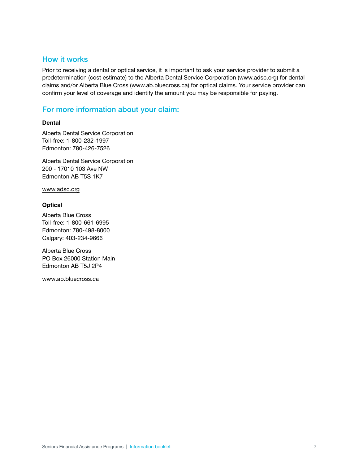## How it works

Prior to receiving a dental or optical service, it is important to ask your service provider to submit a predetermination (cost estimate) to the Alberta Dental Service Corporation (www.adsc.org) for dental claims and/or Alberta Blue Cross [\(www .ab .bluecross .ca\)](https://www.ab.bluecross.ca/) for optical claims . Your service provider can confirm your level of coverage and identify the amount you may be responsible for paying .

## For more information about your claim:

#### **Dental**

Alberta Dental Service Corporation Toll-free: 1-800-232-1997 Edmonton: 780-426-7526

Alberta Dental Service Corporation 200 - 17010 103 Ave NW Edmonton AB T5S 1K7

www.adsc.org

#### **Optical**

Alberta Blue Cross Toll-free: 1-800-661-6995 Edmonton: 780-498-8000 Calgary: 403-234-9666

Alberta Blue Cross PO Box 26000 Station Main Edmonton AB T5J 2P4

www.ab.bluecross.ca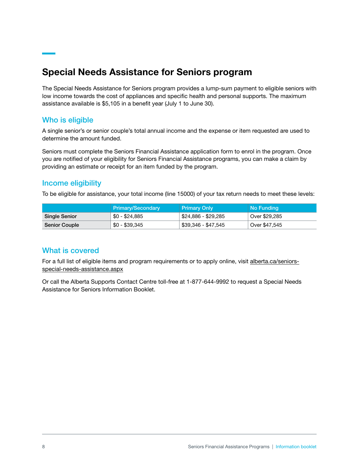# Special Needs Assistance for Seniors program

The Special Needs Assistance for Seniors program provides a lump-sum payment to eligible seniors with low income towards the cost of appliances and specific health and personal supports. The maximum assistance available is \$5,105 in a benefit year (July 1 to June 30).

## Who is eligible

A single senior's or senior couple's total annual income and the expense or item requested are used to determine the amount funded.

Seniors must complete the Seniors Financial Assistance application form to enrol in the program. Once you are notified of your eligibility for Seniors Financial Assistance programs, you can make a claim by providing an estimate or receipt for an item funded by the program.

## Income eligibility

To be eligible for assistance, your total income (line 15000) of your tax return needs to meet these levels:

|                      | Primary/Secondary | <b>Primary Only</b> | No Funding    |
|----------------------|-------------------|---------------------|---------------|
| Single Senior        | \$0 - \$24,885    | \$24,886 - \$29,285 | Over \$29,285 |
| <b>Senior Couple</b> | $$0 - $39,345$    | \$39,346 - \$47,545 | Over \$47,545 |

## What is covered

For a full list of eligible items and program requirements or to apply online, visit alberta.ca/seniorsspecial-needs-assistance.aspx

Or call the Alberta Supports Contact Centre toll-free at 1-877-644-9992 to request a Special Needs Assistance for Seniors Information Booklet.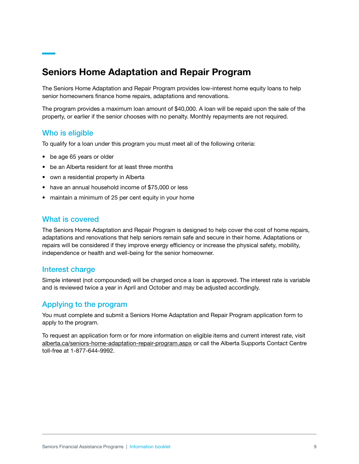# Seniors Home Adaptation and Repair Program

The Seniors Home Adaptation and Repair Program provides low-interest home equity loans to help senior homeowners finance home repairs, adaptations and renovations.

The program provides a maximum loan amount of \$40,000. A loan will be repaid upon the sale of the property, or earlier if the senior chooses with no penalty. Monthly repayments are not required.

#### Who is eligible

To qualify for a loan under this program you must meet all of the following criteria:

- be age 65 years or older
- be an Alberta resident for at least three months
- own a residential property in Alberta
- have an annual household income of \$75,000 or less
- maintain a minimum of 25 per cent equity in your home

#### What is covered

The Seniors Home Adaptation and Repair Program is designed to help cover the cost of home repairs, adaptations and renovations that help seniors remain safe and secure in their home. Adaptations or repairs will be considered if they improve energy efficiency or increase the physical safety, mobility, independence or health and well-being for the senior homeowner.

#### Interest charge

Simple interest (not compounded) will be charged once a loan is approved. The interest rate is variable and is reviewed twice a year in April and October and may be adjusted accordingly.

#### Applying to the program

You must complete and submit a Seniors Home Adaptation and Repair Program application form to apply to the program.

To request an application form or for more information on eligible items and current interest rate, visit [alberta.ca/seniors-home-adaptation-repair-program.aspx](https://www.alberta.ca/seniors-home-adaptation-repair-program.aspx) or call the Alberta Supports Contact Centre toll-free at 1-877-644-9992.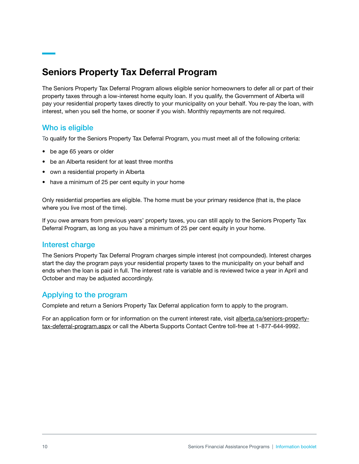# Seniors Property Tax Deferral Program

The Seniors Property Tax Deferral Program allows eligible senior homeowners to defer all or part of their property taxes through a low-interest home equity loan. If you qualify, the Government of Alberta will pay your residential property taxes directly to your municipality on your behalf. You re-pay the loan, with interest, when you sell the home, or sooner if you wish. Monthly repayments are not required.

## Who is eligible

To qualify for the Seniors Property Tax Deferral Program, you must meet all of the following criteria:

- be age 65 years or older
- be an Alberta resident for at least three months
- own a residential property in Alberta
- have a minimum of 25 per cent equity in your home

Only residential properties are eligible. The home must be your primary residence (that is, the place where you live most of the time).

If you owe arrears from previous years' property taxes, you can still apply to the Seniors Property Tax Deferral Program, as long as you have a minimum of 25 per cent equity in your home.

#### Interest charge

The Seniors Property Tax Deferral Program charges simple interest (not compounded). Interest charges start the day the program pays your residential property taxes to the municipality on your behalf and ends when the loan is paid in full. The interest rate is variable and is reviewed twice a year in April and October and may be adjusted accordingly.

# Applying to the program

Complete and return a Seniors Property Tax Deferral application form to apply to the program.

[For an application form or for information on the current interest rate, visit alberta.ca/seniors-property](https://www.alberta.ca/seniors-property-tax-deferral-program.aspx)tax-deferral-program.aspx or call the Alberta Supports Contact Centre toll-free at 1-877-644-9992.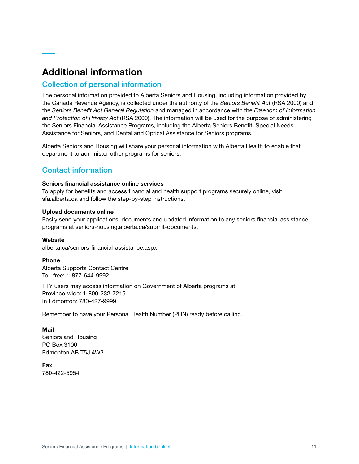# Additional information

#### Collection of personal information

The personal information provided to Alberta Seniors and Housing, including information provided by the Canada Revenue Agency, is collected under the authority of the *Seniors Benefit Act* (RSA 2000) and the *Seniors Benefit Act General Regulation* and managed in accordance with the *Freedom of Information and Protection of Privacy Act* (RSA 2000). The information will be used for the purpose of administering the Seniors Financial Assistance Programs, including the Alberta Seniors Benefit, Special Needs Assistance for Seniors, and Dental and Optical Assistance for Seniors programs.

Alberta Seniors and Housing will share your personal information with Alberta Health to enable that department to administer other programs for seniors.

# Contact information

#### Seniors financial assistance online services

To apply for benefits and access financial and health support programs securely online, visit sfa.alberta.ca and follow the step-by-step instructions.

#### Upload documents online

Easily send your applications, documents and updated information to any seniors financial assistance programs at [seniors-housing.alberta.ca/submit-documents](https://www.seniors-housing.alberta.ca/submit-documents/).

#### **Website**

[alberta.ca/seniors-financial-assistance.aspx](https://www.alberta.ca/seniors-financial-assistance.aspx)

#### Phone

Alberta Supports Contact Centre Toll-free: 1-877-644-9992

TTY users may access information on Government of Alberta programs at: Province-wide: 1-800-232-7215 In Edmonton: 780-427-9999

Remember to have your Personal Health Number (PHN) ready before calling.

#### Mail

Seniors and Housing PO Box 3100 Edmonton AB T5J 4W3

Fax 780-422-5954